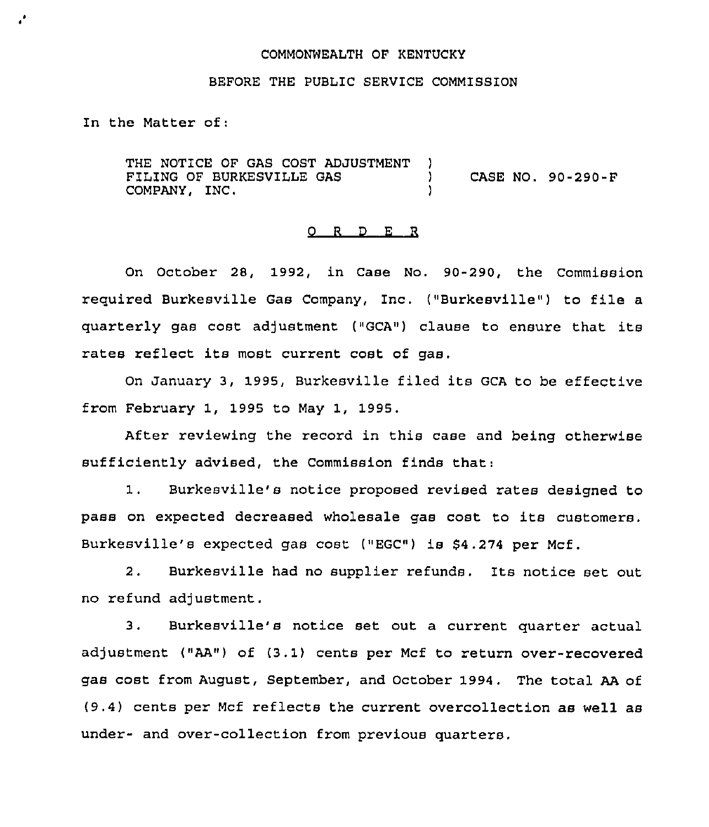## COMMONWEALTH OF KENTUCKY

## BEFORE THE PUBLIC SERVICE COMMISSION

In the Matter of;

THE NOTICE OF GAS COST ADJUSTMENT )<br>FILING OF BURKESVILLE GAS FILING OF BURKESVILLE GAS  $\overrightarrow{O}$  CASE NO. 90-290-F<br>COMPANY. INC. COMPANY, INC. )

# 0 <sup>R</sup> <sup>D</sup> E R

On October 28, 1992, in Case No. 90-290, the Commission required Burkesville Gas Company, Inc. ("Burkesville") to file <sup>a</sup> quarterly gas cost adjustment ("GCA") clause to ensure that its rates reflect its most current cost of gas.

On January 3, 1995, Burkesville filed its GCA to be effective from February 1, 1995 to May 1, 1995.

After reviewing the record in this case and being otherwise sufficiently advised, the Commission finds that:

1. Burkesville's notice proposed revised rates designed to pass on expected decreased wholesale gas cost to its customers. Burkesville's expected gas cost ("EGC") is \$4.274 per Mcf.

2. Burkesville had no supplier refunds. Its notice set out no refund adjustment.

3. Burkesville's notice set out a current quarter actual adjustment ("AA") of (3.1) cents per Mcf to return over-recovered gas cost from August, September, and October 1994. The total AA of (9.4) cents per Mcf reflects the current overcollection as well as under- and over-collection from previous quarters.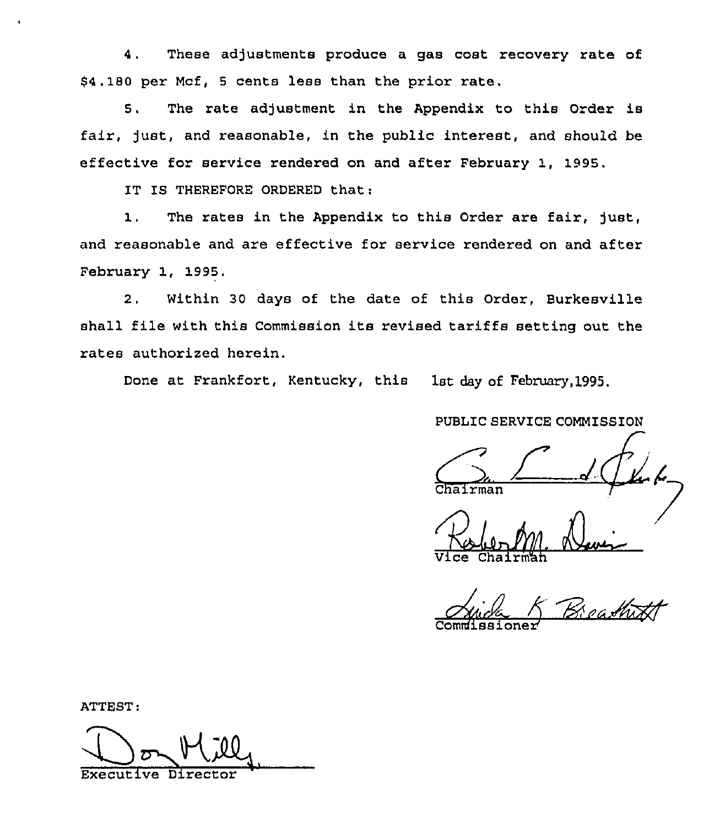4. These adjustments produce a gas cost recovery rate of \$4.180 per Mcf, <sup>5</sup> cents less than the prior rate.

5. The rate adjustment in the Appendix to this Order is fair, just, and reasonable, in the public interest, and should be effective for service rendered on and after February 1, 1995.

IT IS THEREFORE ORDERED that:

1. The rates in the Appendix to this Order are fair, )ust, and reasonable and are effective for service rendered on and after February 1, 1995.

2. Within 30 days of the date of this Order, Burkesville shall file with this Commission its revised tariffs setting out the rates authorized herein.

Done at Frankfort, Kentucky, this 1st day of February,1995.

PUBLIC SERVICE COMMISSION

 $C_{\text{bairman}}$ 

سله Chairm'h

ATTEST:

Don Mill Executive Direc